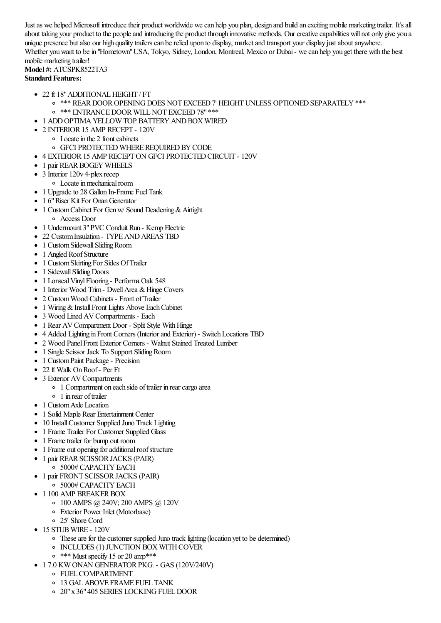Just as we helped Microsoft introduce their product worldwide we can help you plan, design and build an exciting mobile marketing trailer. It's all about taking your product to the people and introducing the product through innovative methods. Our creative capabilities will not only give you a unique presence but also our high quality trailers can be relied upon to display, market and transport your display just about anywhere. Whether you want to be in "Hometown" USA, Tokyo, Sidney, London, Montreal, Mexico or Dubai - we can help you get there with the best mobile marketing trailer!

## **Model #:** ATCSPK8522TA3 **Standard Features:**

- 22 ft 18" ADDITIONAL HEIGHT / FT
	- $\circ$  \*\*\* REAR DOOR OPENING DOES NOT EXCEED 7' HEIGHT UNLESS OPTIONED SEPARATELY \*\*\*
	- o \*\*\* ENTRANCE DOOR WILL NOT EXCEED 78" \*\*\*
- 1 ADD OPTIMA YELLOW TOP BATTERY AND BOX WIRED
- 2 INTERIOR 15 AMP RECEPT 120V
	- Locate in the 2 front cabinets
	- **OF CIPROTECTED WHERE REQUIRED BY CODE**
- 4 EXTERIOR15 AMP RECEPTON GFCI PROTECTEDCIRCUIT 120V
- 1 pair REAR BOGEY WHEELS
- 3 Interior 120v 4-plex recep
- $\circ$  Locate in mechanical room
- 1 Upgrade to 28 Gallon In-Frame Fuel Tank
- 1 6" Riser Kit For Onan Generator
- 1 Custom Cabinet For Gen w/ Sound Deadening & Airtight Access Door
- 1 Undermount 3"PVC Conduit Run Kemp Electric
- 22 Custom Insulation TYPE AND AREAS TBD
- 1 Custom Sidewall Sliding Room
- 1 Angled Roof Structure
- 1 Custom Skirting For Sides Of Trailer
- 1 Sidewall Sliding Doors
- 1 Lonseal Vinyl Flooring Performa Oak 548
- 1 Interior Wood Trim Dwell Area & Hinge Covers
- 2 Custom Wood Cabinets Front of Trailer
- 1 Wiring & Install Front Lights Above Each Cabinet
- 3 Wood Lined AV Compartments Each
- 1 Rear AV Compartment Door Split Style With Hinge
- 4 Added Lighting in Front Corners (Interior and Exterior) Switch Locations TBD
- 2 Wood PanelFront Exterior Corners Walnut Stained Treated Lumber
- 1 Single Scissor Jack To Support Sliding Room
- 1 Custom Paint Package Precision
- 22 ft Walk On Roof Per Ft
- 3 Exterior AV Compartments
	- 1 Compartment on each side of trailer in rear cargo area
	- 1 in rear oftrailer
- 1 Custom Axle Location
- 1 Solid Maple Rear Entertainment Center
- 10 Install Customer Supplied Juno Track Lighting
- 1 Frame Trailer For Customer Supplied Glass
- 1 Frame trailer for bump out room
- 1 Frame out opening for additional roof structure
- 1 pair REAR SCISSOR JACKS (PAIR)
	- <sup>o</sup> 5000# CAPACITY EACH
- 1 pair FRONT SCISSOR JACKS (PAIR) <sup>o</sup> 5000# CAPACITY EACH
- 1 100 AMP BREAKER BOX
	- 100 AMPS @ 240V; 200 AMPS @ 120V
	- Exterior Power Inlet (Motorbase)
	- 25' Shore Cord
- 15 STUBWIRE 120V
	- These are for the customer supplied Juno track lighting (location yet to be determined)
	- INCLUDES (1) JUNCTION BOX WITH COVER
	- $\circ$  \*\*\* Must specify 15 or 20 amp\*\*\*
- 1 7.0 KW ONAN GENERATORPKG. GAS (120V/240V)
	- FUELCOMPARTMENT
	- 13 GALABOVE FRAME FUEL TANK
	- o 20" x 36" 405 SERIES LOCKING FUEL DOOR